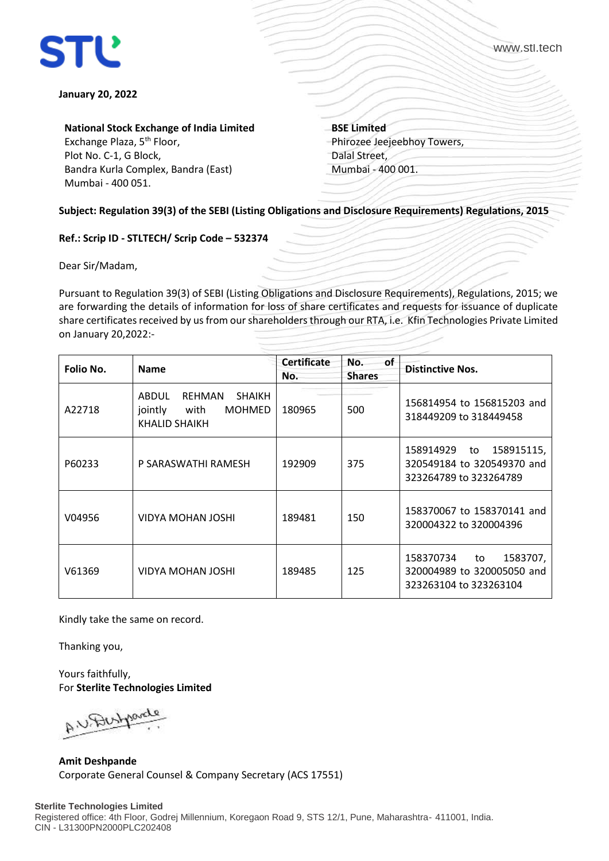

www.stl.tech

## **January 20, 2022**

**National Stock Exchange of India Limited**

Exchange Plaza, 5<sup>th</sup> Floor, Plot No. C-1, G Block, Bandra Kurla Complex, Bandra (East) Mumbai - 400 051.

**BSE Limited** Phirozee Jeejeebhoy Towers, Dalal Street, Mumbai - 400 001.

**Subject: Regulation 39(3) of the SEBI (Listing Obligations and Disclosure Requirements) Regulations, 2015** 

## **Ref.: Scrip ID - STLTECH/ Scrip Code – 532374**

Dear Sir/Madam,

Pursuant to Regulation 39(3) of SEBI (Listing Obligations and Disclosure Requirements), Regulations, 2015; we are forwarding the details of information for loss of share certificates and requests for issuance of duplicate share certificates received by us from our shareholders through our RTA, i.e. Kfin Technologies Private Limited on January 20,2022:-

| Folio No. | <b>Name</b>                                                                           | <b>Certificate</b><br>No. | of<br>No.<br><b>Shares</b> | <b>Distinctive Nos.</b>                                                               |
|-----------|---------------------------------------------------------------------------------------|---------------------------|----------------------------|---------------------------------------------------------------------------------------|
| A22718    | ABDUL<br>REHMAN<br><b>SHAIKH</b><br>jointly<br><b>MOHMED</b><br>with<br>KHALID SHAIKH | 180965                    | 500                        | 156814954 to 156815203 and<br>318449209 to 318449458                                  |
| P60233    | P SARASWATHI RAMESH                                                                   | 192909                    | 375                        | 158915115,<br>158914929<br>to<br>320549184 to 320549370 and<br>323264789 to 323264789 |
| V04956    | VIDYA MOHAN JOSHI                                                                     | 189481                    | 150                        | 158370067 to 158370141 and<br>320004322 to 320004396                                  |
| V61369    | VIDYA MOHAN JOSHI                                                                     | 189485                    | 125                        | 158370734<br>1583707,<br>to<br>320004989 to 320005050 and<br>323263104 to 323263104   |

Kindly take the same on record.

Thanking you,

Yours faithfully, For **Sterlite Technologies Limited**

AN Bustin

**Amit Deshpande** Corporate General Counsel & Company Secretary (ACS 17551)

## **Sterlite Technologies Limited**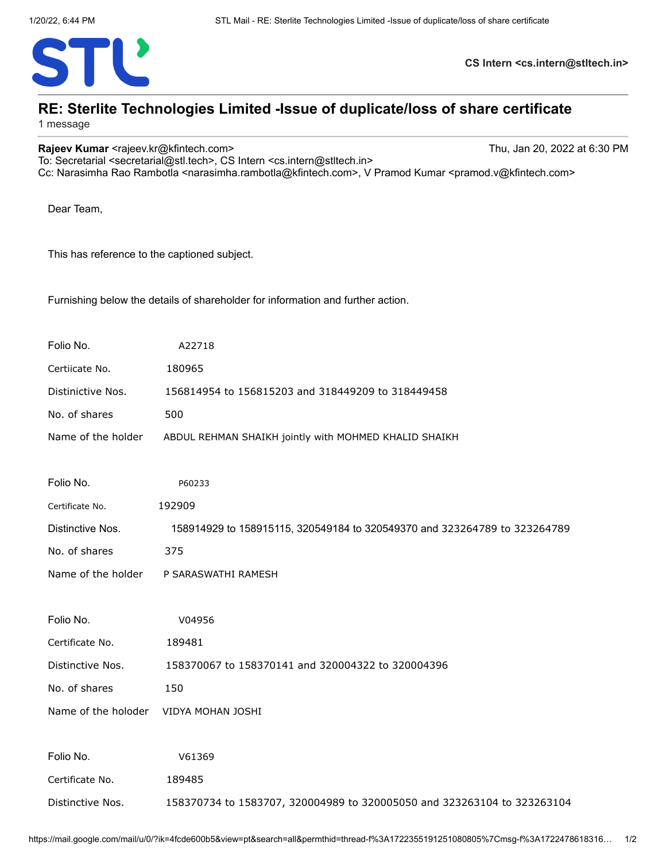

**CS Intern <cs.intern@stltech.in>**

## **RE: Sterlite Technologies Limited -Issue of duplicate/loss of share certificate**

1 message

**Rajeev Kumar <rajeev.kr@kfintech.com>** Thu, Jan 20, 2022 at 6:30 PM

To: Secretarial <secretarial@stl.tech>, CS Intern <cs.intern@stltech.in> Cc: Narasimha Rao Rambotla <narasimha.rambotla@kfintech.com>, V Pramod Kumar <pramod.v@kfintech.com>

Dear Team,

This has reference to the captioned subject.

Furnishing below the details of shareholder for information and further action.

| Folio No.           | A22718                                                                    |  |  |
|---------------------|---------------------------------------------------------------------------|--|--|
| Certiicate No.      | 180965                                                                    |  |  |
| Distinictive Nos.   | 156814954 to 156815203 and 318449209 to 318449458                         |  |  |
| No. of shares       | 500                                                                       |  |  |
| Name of the holder  | ABDUL REHMAN SHAIKH jointly with MOHMED KHALID SHAIKH                     |  |  |
|                     |                                                                           |  |  |
| Folio No.           | P60233                                                                    |  |  |
| Certificate No.     | 192909                                                                    |  |  |
| Distinctive Nos.    | 158914929 to 158915115, 320549184 to 320549370 and 323264789 to 323264789 |  |  |
| No. of shares       | 375                                                                       |  |  |
| Name of the holder  | P SARASWATHI RAMESH                                                       |  |  |
|                     |                                                                           |  |  |
| Folio No.           | V04956                                                                    |  |  |
| Certificate No.     | 189481                                                                    |  |  |
| Distinctive Nos.    | 158370067 to 158370141 and 320004322 to 320004396                         |  |  |
| No. of shares       | 150                                                                       |  |  |
| Name of the holoder | VIDYA MOHAN JOSHI                                                         |  |  |
|                     |                                                                           |  |  |
| Folio No.           | V61369                                                                    |  |  |
| Certificate No.     | 189485                                                                    |  |  |
| Distinctive Nos.    | 158370734 to 1583707, 320004989 to 320005050 and 323263104 to 323263104   |  |  |